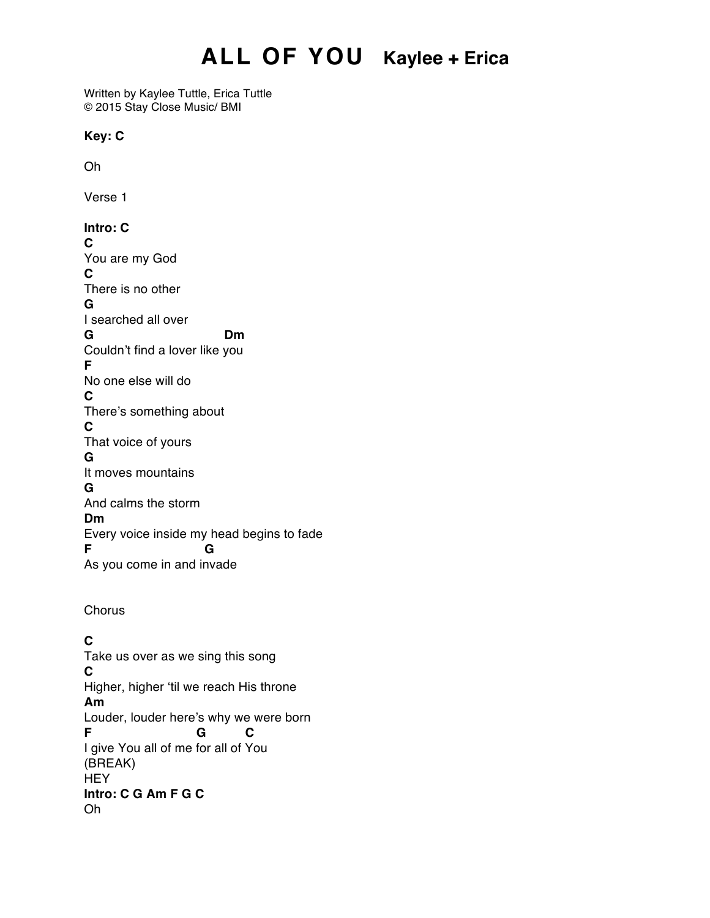# **ALL OF YOU Kaylee + Erica**

Written by Kaylee Tuttle, Erica Tuttle © 2015 Stay Close Music/ BMI

#### **Key: C**

Oh

Verse 1

#### **Intro: C**

**C** You are my God **C** There is no other **G** I searched all over **G Dm** Couldn't find a lover like you **F** No one else will do **C** There's something about **C** That voice of yours **G** It moves mountains **G** And calms the storm **Dm** Every voice inside my head begins to fade **F G** As you come in and invade

**Chorus** 

### **C**

Take us over as we sing this song **C** Higher, higher 'til we reach His throne **Am** Louder, louder here's why we were born **F G C** I give You all of me for all of You (BREAK) **HEY Intro: C G Am F G C** Oh